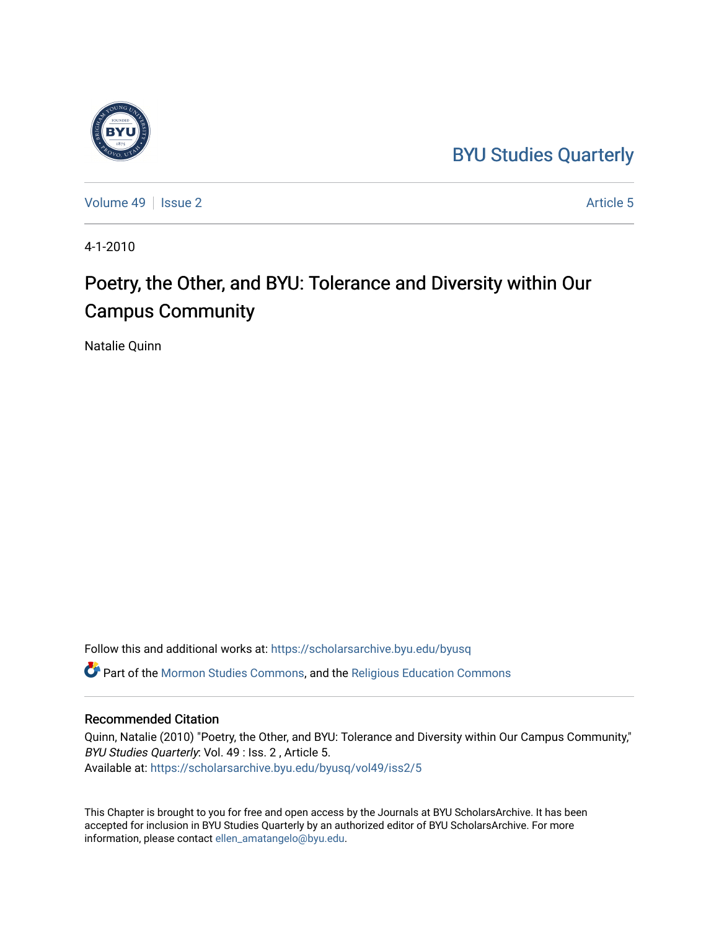## [BYU Studies Quarterly](https://scholarsarchive.byu.edu/byusq)



[Volume 49](https://scholarsarchive.byu.edu/byusq/vol49) | [Issue 2](https://scholarsarchive.byu.edu/byusq/vol49/iss2) Article 5

4-1-2010

## Poetry, the Other, and BYU: Tolerance and Diversity within Our Campus Community

Natalie Quinn

Follow this and additional works at: [https://scholarsarchive.byu.edu/byusq](https://scholarsarchive.byu.edu/byusq?utm_source=scholarsarchive.byu.edu%2Fbyusq%2Fvol49%2Fiss2%2F5&utm_medium=PDF&utm_campaign=PDFCoverPages) 

Part of the [Mormon Studies Commons](http://network.bepress.com/hgg/discipline/1360?utm_source=scholarsarchive.byu.edu%2Fbyusq%2Fvol49%2Fiss2%2F5&utm_medium=PDF&utm_campaign=PDFCoverPages), and the [Religious Education Commons](http://network.bepress.com/hgg/discipline/1414?utm_source=scholarsarchive.byu.edu%2Fbyusq%2Fvol49%2Fiss2%2F5&utm_medium=PDF&utm_campaign=PDFCoverPages) 

## Recommended Citation

Quinn, Natalie (2010) "Poetry, the Other, and BYU: Tolerance and Diversity within Our Campus Community," BYU Studies Quarterly: Vol. 49 : Iss. 2 , Article 5. Available at: [https://scholarsarchive.byu.edu/byusq/vol49/iss2/5](https://scholarsarchive.byu.edu/byusq/vol49/iss2/5?utm_source=scholarsarchive.byu.edu%2Fbyusq%2Fvol49%2Fiss2%2F5&utm_medium=PDF&utm_campaign=PDFCoverPages)

This Chapter is brought to you for free and open access by the Journals at BYU ScholarsArchive. It has been accepted for inclusion in BYU Studies Quarterly by an authorized editor of BYU ScholarsArchive. For more information, please contact [ellen\\_amatangelo@byu.edu.](mailto:ellen_amatangelo@byu.edu)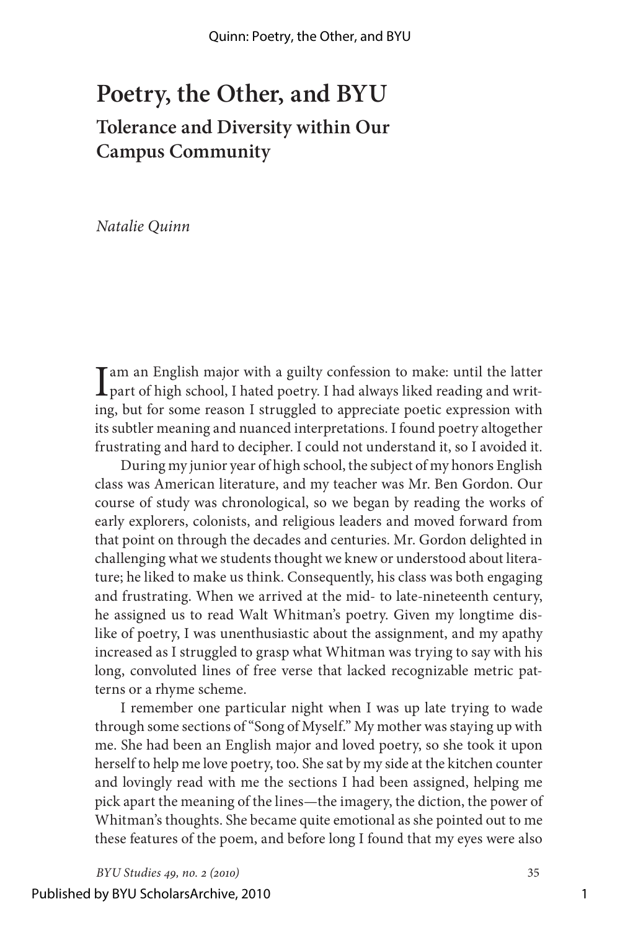## **Poetry, the Other, and BYU Tolerance and Diversity within Our Campus Community**

*Natalie Quinn*

I am an English major with a guilty confession to make: until the latter part of high school, I hated poetry. I had always liked reading and writing, but for some reason I struggled to appreciate poetic expression with its subtler meaning and nuanced interpretations. I found poetry altogether frustrating and hard to decipher. I could not understand it, so I avoided it.

During my junior year of high school, the subject of my honors English class was American literature, and my teacher was Mr. Ben Gordon. Our course of study was chronological, so we began by reading the works of early explorers, colonists, and religious leaders and moved forward from that point on through the decades and centuries. Mr. Gordon delighted in challenging what we students thought we knew or understood about literature; he liked to make us think. Consequently, his class was both engaging and frustrating. When we arrived at the mid- to late-nineteenth century, he assigned us to read Walt Whitman's poetry. Given my longtime dislike of poetry, I was unenthusiastic about the assignment, and my apathy increased as I struggled to grasp what Whitman was trying to say with his long, convoluted lines of free verse that lacked recognizable metric patterns or a rhyme scheme.

I remember one particular night when I was up late trying to wade through some sections of "Song of Myself." My mother was staying up with me. She had been an English major and loved poetry, so she took it upon herself to help me love poetry, too. She sat by my side at the kitchen counter and lovingly read with me the sections I had been assigned, helping me pick apart the meaning of the lines—the imagery, the diction, the power of Whitman's thoughts. She became quite emotional as she pointed out to me these features of the poem, and before long I found that my eyes were also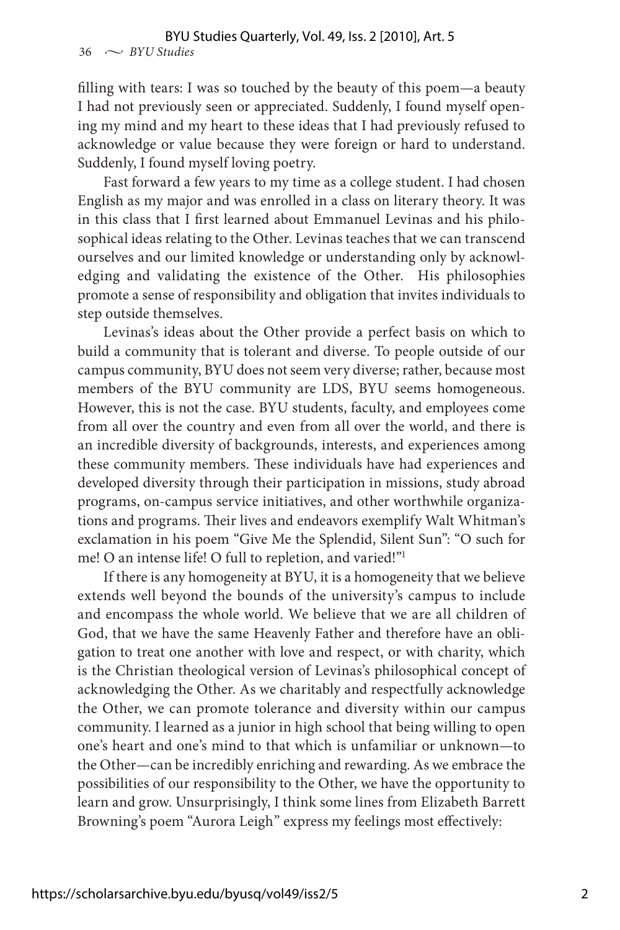filling with tears: I was so touched by the beauty of this poem—a beauty I had not previously seen or appreciated. Suddenly, I found myself opening my mind and my heart to these ideas that I had previously refused to acknowledge or value because they were foreign or hard to understand. Suddenly, I found myself loving poetry.

Fast forward a few years to my time as a college student. I had chosen English as my major and was enrolled in a class on literary theory. It was in this class that I first learned about Emmanuel Levinas and his philosophical ideas relating to the Other. Levinas teaches that we can transcend ourselves and our limited knowledge or understanding only by acknowledging and validating the existence of the Other. His philosophies promote a sense of responsibility and obligation that invites individuals to step outside themselves.

Levinas's ideas about the Other provide a perfect basis on which to build a community that is tolerant and diverse. To people outside of our campus community, BYU does not seem very diverse; rather, because most members of the BYU community are LDS, BYU seems homogeneous. However, this is not the case. BYU students, faculty, and employees come from all over the country and even from all over the world, and there is an incredible diversity of backgrounds, interests, and experiences among these community members. These individuals have had experiences and developed diversity through their participation in missions, study abroad programs, on-campus service initiatives, and other worthwhile organizations and programs. Their lives and endeavors exemplify Walt Whitman's exclamation in his poem "Give Me the Splendid, Silent Sun": "O such for me! O an intense life! O full to repletion, and varied!"1

If there is any homogeneity at BYU, it is a homogeneity that we believe extends well beyond the bounds of the university's campus to include and encompass the whole world. We believe that we are all children of God, that we have the same Heavenly Father and therefore have an obligation to treat one another with love and respect, or with charity, which is the Christian theological version of Levinas's philosophical concept of acknowledging the Other. As we charitably and respectfully acknowledge the Other, we can promote tolerance and diversity within our campus community. I learned as a junior in high school that being willing to open one's heart and one's mind to that which is unfamiliar or unknown—to the Other—can be incredibly enriching and rewarding. As we embrace the possibilities of our responsibility to the Other, we have the opportunity to learn and grow. Unsurprisingly, I think some lines from Elizabeth Barrett Browning's poem "Aurora Leigh" express my feelings most effectively: